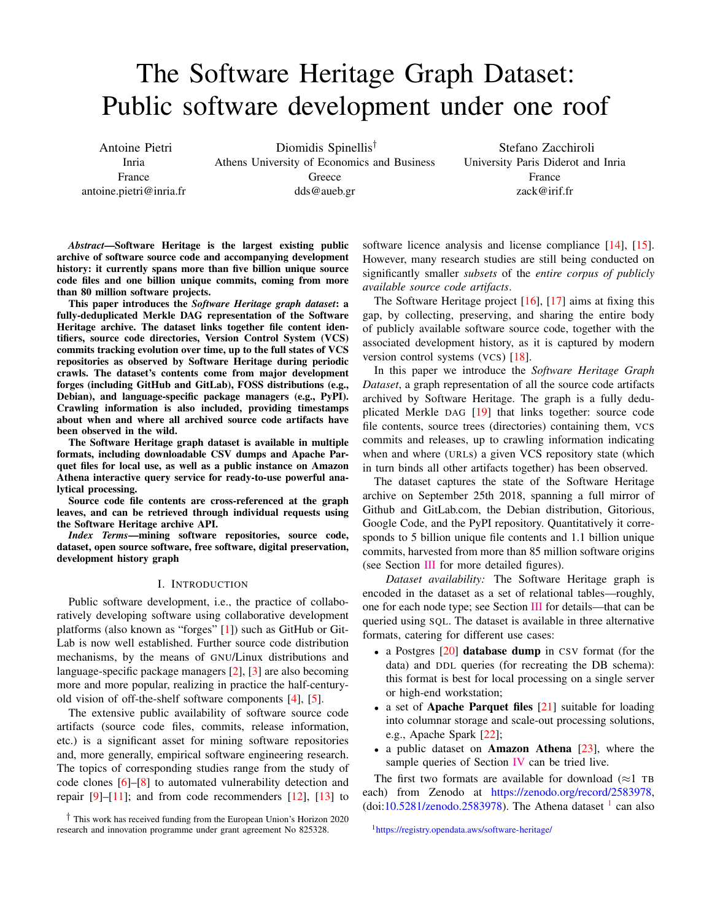# The Software Heritage Graph Dataset: Public software development under one roof

Antoine Pietri Inria France antoine.pietri@inria.fr

Diomidis Spinellis† Athens University of Economics and Business **Greece** dds@aueb.gr

Stefano Zacchiroli University Paris Diderot and Inria France zack@irif.fr

*Abstract*—Software Heritage is the largest existing public archive of software source code and accompanying development history: it currently spans more than five billion unique source code files and one billion unique commits, coming from more than 80 million software projects.

This paper introduces the *Software Heritage graph dataset*: a fully-deduplicated Merkle DAG representation of the Software Heritage archive. The dataset links together file content identifiers, source code directories, Version Control System (VCS) commits tracking evolution over time, up to the full states of VCS repositories as observed by Software Heritage during periodic crawls. The dataset's contents come from major development forges (including GitHub and GitLab), FOSS distributions (e.g., Debian), and language-specific package managers (e.g., PyPI). Crawling information is also included, providing timestamps about when and where all archived source code artifacts have been observed in the wild.

The Software Heritage graph dataset is available in multiple formats, including downloadable CSV dumps and Apache Parquet files for local use, as well as a public instance on Amazon Athena interactive query service for ready-to-use powerful analytical processing.

Source code file contents are cross-referenced at the graph leaves, and can be retrieved through individual requests using the Software Heritage archive API.

*Index Terms*—mining software repositories, source code, dataset, open source software, free software, digital preservation, development history graph

## I. INTRODUCTION

Public software development, i.e., the practice of collaboratively developing software using collaborative development platforms (also known as "forges" [\[1\]](#page-4-0)) such as GitHub or Git-Lab is now well established. Further source code distribution mechanisms, by the means of GNU/Linux distributions and language-specific package managers [\[2\]](#page-4-1), [\[3\]](#page-4-2) are also becoming more and more popular, realizing in practice the half-centuryold vision of off-the-shelf software components [\[4\]](#page-4-3), [\[5\]](#page-4-4).

The extensive public availability of software source code artifacts (source code files, commits, release information, etc.) is a significant asset for mining software repositories and, more generally, empirical software engineering research. The topics of corresponding studies range from the study of code clones [\[6\]](#page-4-5)–[\[8\]](#page-4-6) to automated vulnerability detection and repair  $[9]-[11]$  $[9]-[11]$  $[9]-[11]$ ; and from code recommenders  $[12]$ ,  $[13]$  to software licence analysis and license compliance [\[14\]](#page-4-11), [\[15\]](#page-4-12). However, many research studies are still being conducted on significantly smaller *subsets* of the *entire corpus of publicly available source code artifacts*.

The Software Heritage project [\[16\]](#page-4-13), [\[17\]](#page-4-14) aims at fixing this gap, by collecting, preserving, and sharing the entire body of publicly available software source code, together with the associated development history, as it is captured by modern version control systems (VCS) [\[18\]](#page-4-15).

In this paper we introduce the *Software Heritage Graph Dataset*, a graph representation of all the source code artifacts archived by Software Heritage. The graph is a fully deduplicated Merkle DAG [\[19\]](#page-4-16) that links together: source code file contents, source trees (directories) containing them, VCS commits and releases, up to crawling information indicating when and where (URLs) a given VCS repository state (which in turn binds all other artifacts together) has been observed.

The dataset captures the state of the Software Heritage archive on September 25th 2018, spanning a full mirror of Github and GitLab.com, the Debian distribution, Gitorious, Google Code, and the PyPI repository. Quantitatively it corresponds to 5 billion unique file contents and 1.1 billion unique commits, harvested from more than 85 million software origins (see Section [III](#page-1-0) for more detailed figures).

*Dataset availability:* The Software Heritage graph is encoded in the dataset as a set of relational tables—roughly, one for each node type; see Section [III](#page-1-0) for details—that can be queried using SQL. The dataset is available in three alternative formats, catering for different use cases:

- a Postgres [\[20\]](#page-4-17) database dump in CSV format (for the data) and DDL queries (for recreating the DB schema): this format is best for local processing on a single server or high-end workstation;
- a set of **Apache Parquet files** [\[21\]](#page-4-18) suitable for loading into columnar storage and scale-out processing solutions, e.g., Apache Spark [\[22\]](#page-4-19);
- a public dataset on **Amazon Athena**  $[23]$ , where the sample queries of Section [IV](#page-2-0) can be tried live.

The first two formats are available for download ( $\approx$ 1 TB each) from Zenodo at [https://zenodo.org/record/2583978,](https://zenodo.org/record/2583978) (doi[:10.5281/zenodo.2583978\)](https://doi.org/10.5281/zenodo.2583978). The Athena dataset  $<sup>1</sup>$  $<sup>1</sup>$  $<sup>1</sup>$  can also</sup>

```
1https://registry.opendata.aws/software-heritage/
```
<sup>†</sup> This work has received funding from the European Union's Horizon 2020 research and innovation programme under grant agreement No 825328.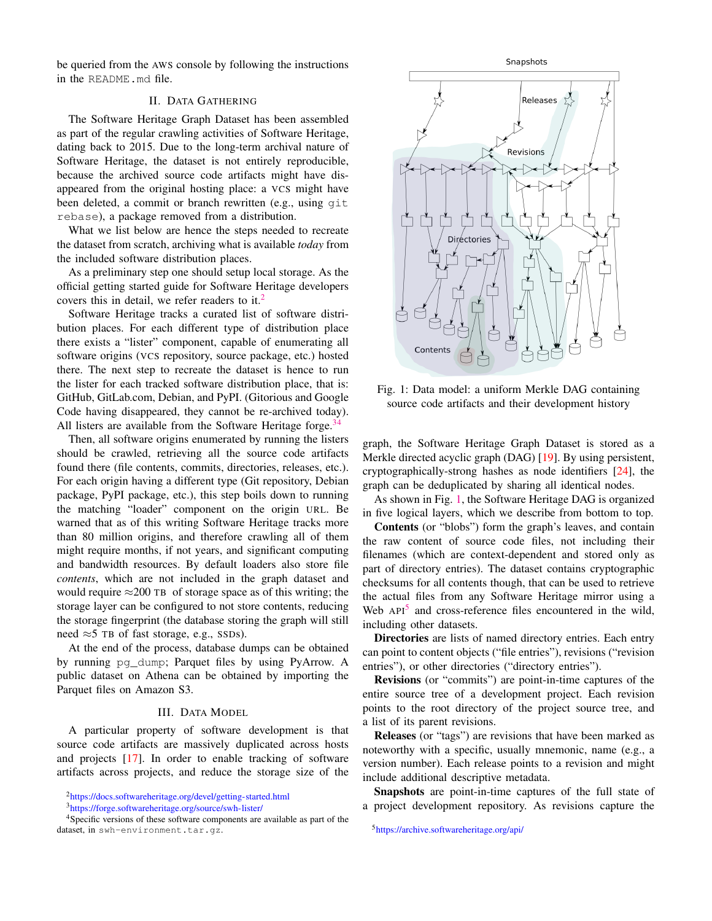be queried from the AWS console by following the instructions in the README.md file.

## II. DATA GATHERING

<span id="page-1-6"></span>The Software Heritage Graph Dataset has been assembled as part of the regular crawling activities of Software Heritage, dating back to 2015. Due to the long-term archival nature of Software Heritage, the dataset is not entirely reproducible, because the archived source code artifacts might have disappeared from the original hosting place: a VCS might have been deleted, a commit or branch rewritten (e.g., using git rebase), a package removed from a distribution.

What we list below are hence the steps needed to recreate the dataset from scratch, archiving what is available *today* from the included software distribution places.

As a preliminary step one should setup local storage. As the official getting started guide for Software Heritage developers covers this in detail, we refer readers to it.<sup>[2](#page-1-1)</sup>

Software Heritage tracks a curated list of software distribution places. For each different type of distribution place there exists a "lister" component, capable of enumerating all software origins (VCS repository, source package, etc.) hosted there. The next step to recreate the dataset is hence to run the lister for each tracked software distribution place, that is: GitHub, GitLab.com, Debian, and PyPI. (Gitorious and Google Code having disappeared, they cannot be re-archived today). All listers are available from the Software Heritage forge.<sup>[3](#page-1-2)[4](#page-1-3)</sup>

Then, all software origins enumerated by running the listers should be crawled, retrieving all the source code artifacts found there (file contents, commits, directories, releases, etc.). For each origin having a different type (Git repository, Debian package, PyPI package, etc.), this step boils down to running the matching "loader" component on the origin URL. Be warned that as of this writing Software Heritage tracks more than 80 million origins, and therefore crawling all of them might require months, if not years, and significant computing and bandwidth resources. By default loaders also store file *contents*, which are not included in the graph dataset and would require  $\approx$ 200 TB of storage space as of this writing; the storage layer can be configured to not store contents, reducing the storage fingerprint (the database storing the graph will still need  $\approx$  5 TB of fast storage, e.g., SSDs).

At the end of the process, database dumps can be obtained by running pg\_dump; Parquet files by using PyArrow. A public dataset on Athena can be obtained by importing the Parquet files on Amazon S3.

#### III. DATA MODEL

<span id="page-1-0"></span>A particular property of software development is that source code artifacts are massively duplicated across hosts and projects [\[17\]](#page-4-14). In order to enable tracking of software artifacts across projects, and reduce the storage size of the

<span id="page-1-1"></span><sup>2</sup><https://docs.softwareheritage.org/devel/getting-started.html>

<span id="page-1-4"></span>

Fig. 1: Data model: a uniform Merkle DAG containing source code artifacts and their development history

graph, the Software Heritage Graph Dataset is stored as a Merkle directed acyclic graph (DAG) [\[19\]](#page-4-16). By using persistent, cryptographically-strong hashes as node identifiers [\[24\]](#page-4-21), the graph can be deduplicated by sharing all identical nodes.

As shown in Fig. [1,](#page-1-4) the Software Heritage DAG is organized in five logical layers, which we describe from bottom to top.

Contents (or "blobs") form the graph's leaves, and contain the raw content of source code files, not including their filenames (which are context-dependent and stored only as part of directory entries). The dataset contains cryptographic checksums for all contents though, that can be used to retrieve the actual files from any Software Heritage mirror using a Web  $API<sup>5</sup>$  $API<sup>5</sup>$  $API<sup>5</sup>$  and cross-reference files encountered in the wild, including other datasets.

Directories are lists of named directory entries. Each entry can point to content objects ("file entries"), revisions ("revision entries"), or other directories ("directory entries").

Revisions (or "commits") are point-in-time captures of the entire source tree of a development project. Each revision points to the root directory of the project source tree, and a list of its parent revisions.

Releases (or "tags") are revisions that have been marked as noteworthy with a specific, usually mnemonic, name (e.g., a version number). Each release points to a revision and might include additional descriptive metadata.

Snapshots are point-in-time captures of the full state of a project development repository. As revisions capture the

<span id="page-1-5"></span><sup>5</sup><https://archive.softwareheritage.org/api/>

<span id="page-1-3"></span><span id="page-1-2"></span><sup>3</sup><https://forge.softwareheritage.org/source/swh-lister/>

<sup>&</sup>lt;sup>4</sup>Specific versions of these software components are available as part of the dataset, in swh-environment.tar.gz.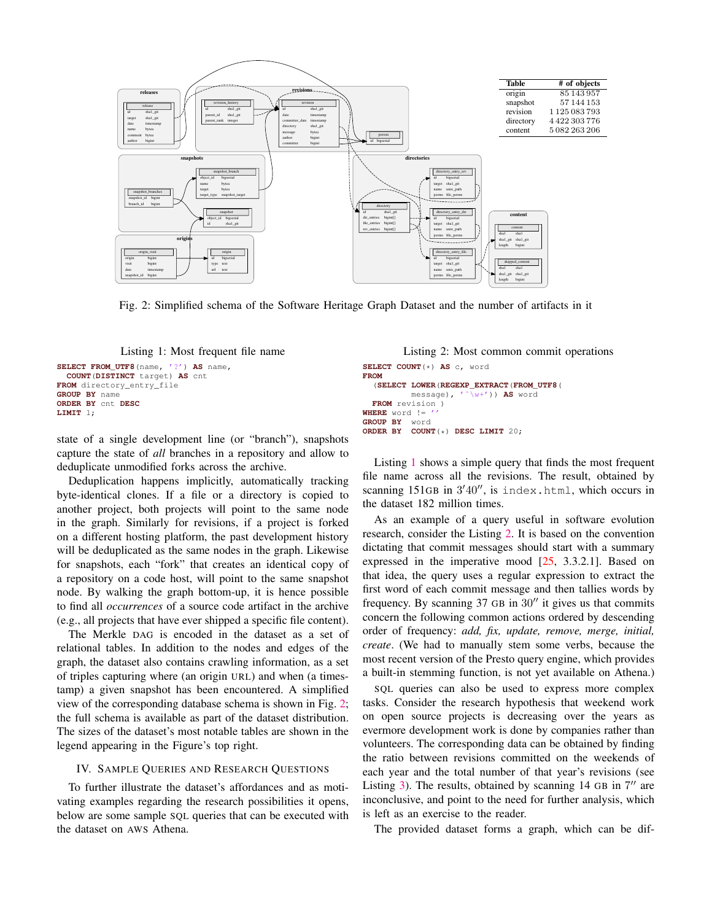<span id="page-2-1"></span>

Fig. 2: Simplified schema of the Software Heritage Graph Dataset and the number of artifacts in it



```
SELECT FROM_UTF8(name, '?') AS name,
  COUNT(DISTINCT target) AS cnt
FROM directory_entry_file
GROUP BY name
ORDER BY cnt DESC
LIMIT 1;
```
state of a single development line (or "branch"), snapshots capture the state of *all* branches in a repository and allow to deduplicate unmodified forks across the archive.

Deduplication happens implicitly, automatically tracking byte-identical clones. If a file or a directory is copied to another project, both projects will point to the same node in the graph. Similarly for revisions, if a project is forked on a different hosting platform, the past development history will be deduplicated as the same nodes in the graph. Likewise for snapshots, each "fork" that creates an identical copy of a repository on a code host, will point to the same snapshot node. By walking the graph bottom-up, it is hence possible to find all *occurrences* of a source code artifact in the archive (e.g., all projects that have ever shipped a specific file content).

The Merkle DAG is encoded in the dataset as a set of relational tables. In addition to the nodes and edges of the graph, the dataset also contains crawling information, as a set of triples capturing where (an origin URL) and when (a timestamp) a given snapshot has been encountered. A simplified view of the corresponding database schema is shown in Fig. [2;](#page-2-1) the full schema is available as part of the dataset distribution. The sizes of the dataset's most notable tables are shown in the legend appearing in the Figure's top right.

## <span id="page-2-0"></span>IV. SAMPLE QUERIES AND RESEARCH QUESTIONS

To further illustrate the dataset's affordances and as motivating examples regarding the research possibilities it opens, below are some sample SQL queries that can be executed with the dataset on AWS Athena.

Listing 2: Most common commit operations

```
SELECT COUNT(*) AS c, word
FROM
  (SELECT LOWER(REGEXP_EXTRACT(FROM_UTF8(
          message), 'ˆ\w+')) AS word
 FROM revision )
WHERE word !=GROUP BY word
ORDER BY COUNT(*) DESC LIMIT 20;
```
Listing [1](#page-2-2) shows a simple query that finds the most frequent file name across all the revisions. The result, obtained by scanning 151GB in 3'40", is index.html, which occurs in the dataset 182 million times.

As an example of a query useful in software evolution research, consider the Listing [2.](#page-2-3) It is based on the convention dictating that commit messages should start with a summary expressed in the imperative mood  $[25, 3.3.2.1]$  $[25, 3.3.2.1]$ . Based on that idea, the query uses a regular expression to extract the first word of each commit message and then tallies words by frequency. By scanning  $37$  GB in  $30''$  it gives us that commits concern the following common actions ordered by descending order of frequency: *add, fix, update, remove, merge, initial, create*. (We had to manually stem some verbs, because the most recent version of the Presto query engine, which provides a built-in stemming function, is not yet available on Athena.)

SQL queries can also be used to express more complex tasks. Consider the research hypothesis that weekend work on open source projects is decreasing over the years as evermore development work is done by companies rather than volunteers. The corresponding data can be obtained by finding the ratio between revisions committed on the weekends of each year and the total number of that year's revisions (see Listing  $3$ ). The results, obtained by scanning 14 GB in  $7''$  are inconclusive, and point to the need for further analysis, which is left as an exercise to the reader.

The provided dataset forms a graph, which can be dif-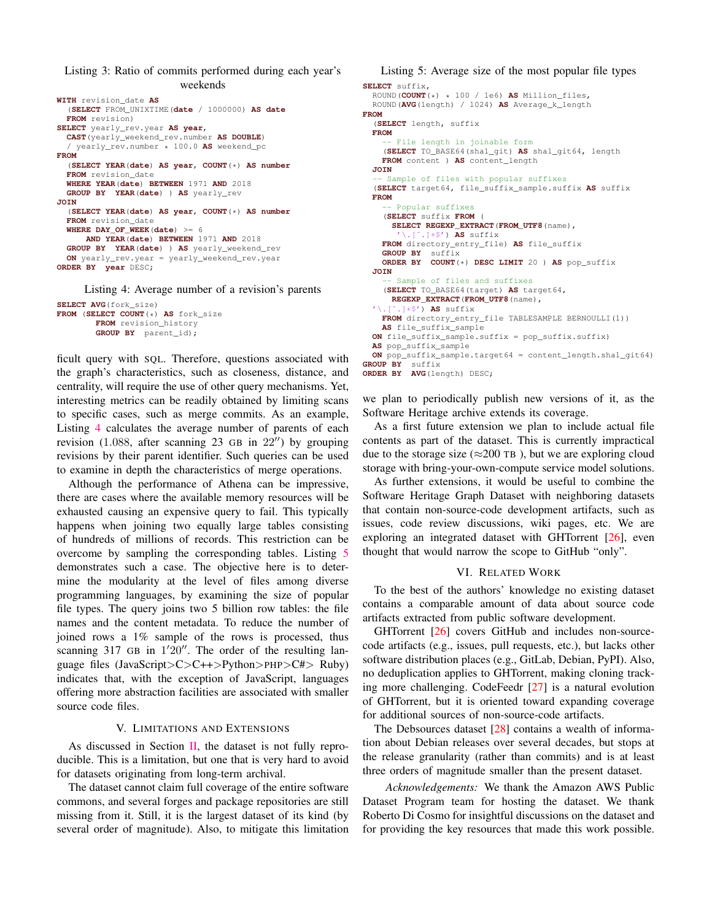<span id="page-3-0"></span>Listing 3: Ratio of commits performed during each year's weekends

```
WITH revision_date AS
  (SELECT FROM_UNIXTIME(date / 1000000) AS date
  FROM revision)
SELECT yearly_rev.year AS year,
  CAST(yearly_weekend_rev.number AS DOUBLE)
  / yearly_rev.number * 100.0 AS weekend_pc
FROM
  (SELECT YEAR(date) AS year, COUNT(*) AS number
  FROM revision_date
  WHERE YEAR(date) BETWEEN 1971 AND 2018
  GROUP BY YEAR(date) ) AS yearly_rev
JOIN
  (SELECT YEAR(date) AS year, COUNT(*) AS number
  FROM revision_date
  WHERE DAY_OF_WEEK(date) >= 6
     AND YEAR(date) BETWEEN 1971 AND 2018
  GROUP BY YEAR(date) ) AS yearly_weekend_rev
  ON yearly_rev.year = yearly_weekend_rev.year
ORDER BY year DESC;
```
Listing 4: Average number of a revision's parents

```
SELECT AVG(fork_size)
FROM (SELECT COUNT(*) AS fork_size
        FROM revision_history
        GROUP BY parent_id);
```
ficult query with SQL. Therefore, questions associated with the graph's characteristics, such as closeness, distance, and centrality, will require the use of other query mechanisms. Yet, interesting metrics can be readily obtained by limiting scans to specific cases, such as merge commits. As an example, Listing [4](#page-3-1) calculates the average number of parents of each revision (1.088, after scanning 23 GB in  $22^{\prime\prime}$ ) by grouping revisions by their parent identifier. Such queries can be used to examine in depth the characteristics of merge operations.

Although the performance of Athena can be impressive, there are cases where the available memory resources will be exhausted causing an expensive query to fail. This typically happens when joining two equally large tables consisting of hundreds of millions of records. This restriction can be overcome by sampling the corresponding tables. Listing [5](#page-3-2) demonstrates such a case. The objective here is to determine the modularity at the level of files among diverse programming languages, by examining the size of popular file types. The query joins two 5 billion row tables: the file names and the content metadata. To reduce the number of joined rows a 1% sample of the rows is processed, thus scanning  $317$  GB in  $1'20''$ . The order of the resulting language files (JavaScript>C>C++>Python>PHP>C#> Ruby) indicates that, with the exception of JavaScript, languages offering more abstraction facilities are associated with smaller source code files.

## V. LIMITATIONS AND EXTENSIONS

As discussed in Section [II,](#page-1-6) the dataset is not fully reproducible. This is a limitation, but one that is very hard to avoid for datasets originating from long-term archival.

The dataset cannot claim full coverage of the entire software commons, and several forges and package repositories are still missing from it. Still, it is the largest dataset of its kind (by several order of magnitude). Also, to mitigate this limitation

```
Listing 5: Average size of the most popular file types
SELECT suffix,
  ROUND(COUNT(*) * 100 / 1e6) AS Million_files,
  ROUND(AVG(length) / 1024) AS Average_k_length
FROM
  (SELECT length, suffix
  FROM
     -- File length in joinable form
    (SELECT TO_BASE64(sha1_git) AS sha1_git64, length
   FROM content ) AS content_length
  JOIN
  -- Sample of files with popular suffixes
  (SELECT target64, file_suffix_sample.suffix AS suffix
  FROM
    -- Popular suffixes
    (SELECT suffix FROM (
      SELECT REGEXP_EXTRACT(FROM_UTF8(name),
            \cdotl+$') AS suffix
   FROM directory_entry_file) AS file_suffix
    GROUP BY suffix
   ORDER BY COUNT(*) DESC LIMIT 20 ) AS pop_suffix
  JOIN
    -- Sample of files and suffixes
    (SELECT TO_BASE64(target) AS target64,
     REGEXP_EXTRACT(FROM_UTF8(name),
       .]+$') AS suffix
   FROM directory_entry_file TABLESAMPLE BERNOULLI(1))
   AS file_suffix_sample
  ON file_suffix_sample.suffix = pop_suffix.suffix)
  AS pop_suffix_sample
  ON pop_suffix_sample.target64 = content_length.sha1_git64)
GROUP BY suffix
ORDER BY AVG(length) DESC;
```
we plan to periodically publish new versions of it, as the Software Heritage archive extends its coverage.

As a first future extension we plan to include actual file contents as part of the dataset. This is currently impractical due to the storage size ( $\approx$ 200 TB), but we are exploring cloud storage with bring-your-own-compute service model solutions.

As further extensions, it would be useful to combine the Software Heritage Graph Dataset with neighboring datasets that contain non-source-code development artifacts, such as issues, code review discussions, wiki pages, etc. We are exploring an integrated dataset with GHTorrent [\[26\]](#page-4-23), even thought that would narrow the scope to GitHub "only".

## VI. RELATED WORK

To the best of the authors' knowledge no existing dataset contains a comparable amount of data about source code artifacts extracted from public software development.

GHTorrent [\[26\]](#page-4-23) covers GitHub and includes non-sourcecode artifacts (e.g., issues, pull requests, etc.), but lacks other software distribution places (e.g., GitLab, Debian, PyPI). Also, no deduplication applies to GHTorrent, making cloning tracking more challenging. CodeFeedr [\[27\]](#page-4-24) is a natural evolution of GHTorrent, but it is oriented toward expanding coverage for additional sources of non-source-code artifacts.

The Debsources dataset [\[28\]](#page-4-25) contains a wealth of information about Debian releases over several decades, but stops at the release granularity (rather than commits) and is at least three orders of magnitude smaller than the present dataset.

*Acknowledgements:* We thank the Amazon AWS Public Dataset Program team for hosting the dataset. We thank Roberto Di Cosmo for insightful discussions on the dataset and for providing the key resources that made this work possible.